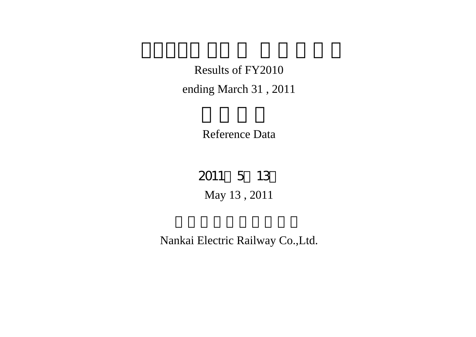Results of FY2010 ending March 31 , 2011

Reference Data

May 13 , 2011 2011 5 13

Nankai Electric Railway Co.,Ltd.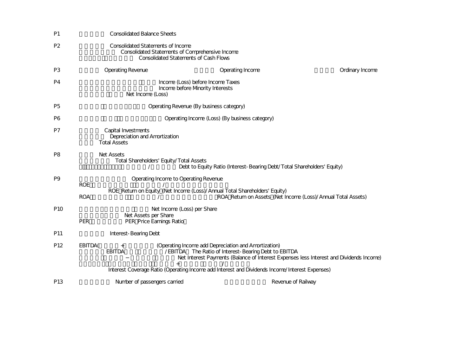| P <sub>1</sub>  |            | <b>Consolidated Balance Sheets</b>                                          |                                                                                                 |                                                      |                                                                                                |                 |
|-----------------|------------|-----------------------------------------------------------------------------|-------------------------------------------------------------------------------------------------|------------------------------------------------------|------------------------------------------------------------------------------------------------|-----------------|
| P <sub>2</sub>  |            | <b>Consolidated Statements of Income</b>                                    | Consolidated Statements of Comprehensive Income<br><b>Consolidated Statements of Cash Flows</b> |                                                      |                                                                                                |                 |
| P <sub>3</sub>  |            | <b>Operating Revenue</b>                                                    |                                                                                                 | Operating Income                                     |                                                                                                | Ordinary Income |
| P4              |            | Net Income (Loss)                                                           | Income (Loss) before Income Taxes<br>Income before Mnority Interests                            |                                                      |                                                                                                |                 |
| P <sub>5</sub>  |            |                                                                             | Operating Revenue (By business category)                                                        |                                                      |                                                                                                |                 |
| P6              |            |                                                                             |                                                                                                 | Operating Income (Loss) (By business category)       |                                                                                                |                 |
| P7              |            | Capital Investments<br>Depreciation and Amortization<br><b>Total Assets</b> |                                                                                                 |                                                      |                                                                                                |                 |
| P <sub>8</sub>  |            | <b>Net Assets</b>                                                           | Total Shareholders' Equity/Total Assets                                                         |                                                      | Debt to Equity Ratio (Interest-Bearing Debt/Total Shareholders' Equity)                        |                 |
| P9              | <b>ROE</b> |                                                                             | Operating Income to Operating Revenue                                                           |                                                      |                                                                                                |                 |
|                 | <b>ROA</b> |                                                                             | ROE Return on Equity (Net Income (Loss)/Annual Total Shareholders' Equity)                      |                                                      | ROA Return on Assets (Net Income (Loss)/Annual Total Assets)                                   |                 |
| P <sub>10</sub> | <b>PER</b> | Net Assets per Share<br>PER Price Earnings Ratio                            | Net Income (Loss) per Share                                                                     |                                                      |                                                                                                |                 |
| P <sub>11</sub> |            | <b>Interest-Bearing Debt</b>                                                |                                                                                                 |                                                      |                                                                                                |                 |
| P <sub>12</sub> | EBITDA(    | <b>EBITDA</b>                                                               | (Operating Income add Depreciation and Amortization)                                            | /EBITDA The Ratio of Interest-Bearing Debt to EBITDA | Net Interest Payments (Balance of Interest Expenses less Interest and Dividends Income)        |                 |
|                 |            |                                                                             |                                                                                                 |                                                      | Interest Coverage Ratio (Operating Income add Interest and Dividends Income/Interest Expenses) |                 |
| P <sub>13</sub> |            | Number of passengers carried                                                |                                                                                                 |                                                      | Revenue of Railway                                                                             |                 |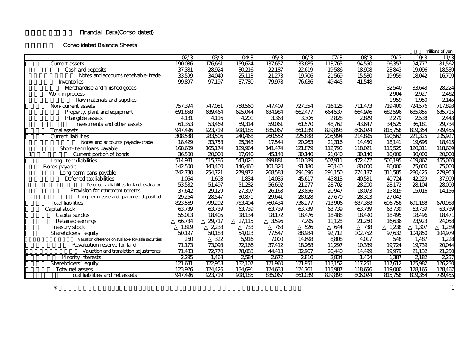## Financial Data(Consolidated)

#### **Consolidated Balance Sheets**

|                                                        |         |         |         |         |         |         |         |                   |         | millions of yen |
|--------------------------------------------------------|---------|---------|---------|---------|---------|---------|---------|-------------------|---------|-----------------|
|                                                        | Q2/3    | 03/3    | O4/3    | 05/3    | 06/3    | O7/3    | 08/3    | O <sup>9</sup> /3 | 10/3    | $\frac{11}{3}$  |
| <b>Current assets</b>                                  | 190,036 | 176,661 | 159,624 | 137,657 | 133,685 | 113,765 | 94,550  | 96,357            | 94,777  | 81,562          |
| Cash and deposits                                      | 37,381  | 28,924  | 30,216  | 22,187  | 22,619  | 19,586  | 18908   | 23,843            | 19,096  | 18539           |
| Notes and accounts receivable-trade                    | 33,599  | 34,049  | 25,113  | 21,273  | 19,706  | 21,569  | 15,580  | 19,959            | 18042   | 16,709          |
| Inventories                                            | 99,897  | 97,197  | 87,780  | 79,978  | 76,636  | 49,445  | 41,548  |                   |         |                 |
| Merchandise and finished goods                         |         |         |         |         |         |         |         | 32540             | 33,643  | 28,224          |
| Work in process                                        |         |         |         |         |         |         |         | 2904              | 2927    | 2,462           |
| Rawmaterials and supplies                              |         |         |         |         |         |         |         | 1,959             | 1,950   | 2145            |
| Non-current assets                                     | 757,394 | 747,051 | 758,560 | 747,409 | 727,354 | 716,128 | 711,473 | 719,400           | 724,576 | 717,893         |
| Property, plant and equipment                          | 691,858 | 689,464 | 695,044 | 684,984 | 662,477 | 664,537 | 664,996 | 682,596           | 685,855 | 685,715         |
| Intangible assets                                      | 4,181   | 4,116   | 4.201   | 3,363   | 3,306   | 2828    | 2829    | 2,279             | 2538    | 2443            |
| Investments and other assets                           | 61,353  | 53,469  | 59,314  | 59,061  | 61,570  | 48,762  | 43,647  | 34,525            | 36,181  | 29,734          |
| <b>Total assets</b>                                    | 947,496 | 923,719 | 918,185 | 885,067 | 861,039 | 829,893 | 806024  | 815,758           | 819,354 | 799,455         |
| <b>Current liabilities</b>                             | 308588  | 283,506 | 240,468 | 260,552 | 225,888 | 205,994 | 214,895 | 190,562           | 221,325 | 205,927         |
| Notes and accounts payable-trade                       | 18,429  | 33,758  | 25,343  | 17,544  | 20,263  | 21,316  | 14,450  | 18,141            | 19,695  | 18,415          |
| Short-term loans payable                               | 168,609 | 165,174 | 129,964 | 141,474 | 121,879 | 112793  | 118021  | 115,525           | 120,311 | 118,669         |
| Current portion of bonds<br>1                          | 36500   | 20,000  | 17,640  | 45,140  | 30,140  | 21,040  | 30,140  | 10,000            | 30,000  | 20,000          |
| Long-term liabilities                                  | 514,981 | 515,786 | 543,026 | 499,881 | 510,389 | 507,911 | 472,472 | 506,195           | 469,862 | 465,060         |
| Bonds payable                                          | 142500  | 143,400 | 146,460 | 101,320 | 91,180  | 90,140  | 80,000  | 80,000            | 75,000  | 75,000          |
| Long-term loans payable                                | 242,730 | 254,721 | 279,972 | 268583  | 294,396 | 291,150 | 274,187 | 311,585           | 280,425 | 279,953         |
| Deferred tax liabilities                               | 1,064   | 1,603   | 1,834   | 14,035  | 45,617  | 45,813  | 40,531  | 40,724            | 42,229  | 37,909          |
| Deferred tax liabilities for land revaluation          | 53,532  | 51,497  | 51,282  | 56,692  | 21,277  | 28,702  | 28,200  | 28,172            | 28,104  | 28,000          |
| Provision for retirement benefits                      | 37,642  | 29,129  | 27,307  | 26163   | 23,856  | 20,947  | 18073   | 15,819            | 15,016  | 14,156          |
| Long-term lease and quarantee deposited                | 29,264  | 28,547  | 30,871  | 29,641  | 28,628  | 27,670  | 28,313  | 27,042            |         |                 |
| <b>Total liabilities</b>                               | 823,569 | 799,292 | 783,494 | 760,434 | 736,277 | 713,906 | 687,368 | 696,758           | 691,188 | 670,988         |
| Capital stock                                          | 63,739  | 63,739  | 63,739  | 63,739  | 63,739  | 63,739  | 63,739  | 63,739            | 63,739  | 63,739          |
| Capital surplus                                        | 55,013  | 18,405  | 18,134  | 18,172  | 18,476  | 18488   | 18,490  | 18,495            | 18,496  | 18,471          |
| Retained earnings                                      | 66,734  | 29,717  | 27,115  | 3,596   | 7,295   | 11,128  | 21,260  | 16,636            | 23,923  | 24,058          |
| Treasury stock                                         | 1,819   | 2,238   | 733     | 768     | 526     | 644     | 738     | 1,238             | 1,307   | 1,289           |
| Shareholders' equity                                   | 50,197  | 50,188  | 54,023  | 77,547  | 88,984  | 92712   | 102,752 | 97,632            | 104,850 | 104,979         |
| Valuation difference on available- for-sale securities | 260     | 322     | 5,916   | 7,000   | 14,698  | 8808    | 4,017   | 548               | 1,487   | 1,228           |
| Revaluation reserve for land                           | 71,173  | 73,093  | 72,166  | 37,412  | 18,268  | 11,297  | 10,339  | 19,724            | 19,739  | 20044           |
| Valuation and translation adjustments                  | 71,433  | 72,770  | 78,083  | 44,413  | 32,967  | 20,440  | 14,499  | 19,979            | 21,132  | 21,250          |
| Mnority interests                                      | 2295    | 1,468   | 2584    | 2672    | 2810    | 2834    | 1,404   | 1,387             | 2182    | 2,237           |
| Shareholders' equity                                   | 121,631 | 122,958 | 132,107 | 121,960 | 121,951 | 113,152 | 117,251 | 117,612           | 125,982 | 126,230         |
| Total net assets                                       | 123,926 | 124,426 | 134,691 | 124,633 | 124,761 | 115,987 | 118656  | 119,000           | 128,165 | 128,467         |
| Total liabilities and net assets                       | 947,496 | 923,719 | 918,185 | 885,067 | 861,039 | 829,893 | 806,024 | 815,758           | 819,354 | 799,455         |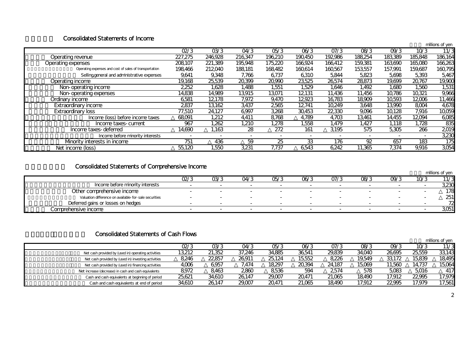### Consolidated Statements of Income

|                                                        |         |         |         |         |         |         |         |         |         | millions of yen |
|--------------------------------------------------------|---------|---------|---------|---------|---------|---------|---------|---------|---------|-----------------|
|                                                        | Q2/3    | 03/3    | O4/3    | 05/3    | 06/3    | O7/3    | 08/3    | O9/3    | 10/3    | 11/3            |
| Operating revenue                                      | 227,275 | 246,928 | 216,347 | 196,210 | 190,450 | 192,986 | 188,254 | 183,389 | 185,848 | 186164          |
| Operating expenses                                     | 208107  | 221,389 | 195,948 | 175,220 | 166,924 | 166,412 | 159,381 | 163,690 | 165,080 | 166,263         |
| Operating expenses and cost of sales of transportation | 198,466 | 212,040 | 188,181 | 168,482 | 160,614 | 160,567 | 153,557 | 157,991 | 159,687 | 160,795         |
| Selling general and administrative expenses            | 9,641   | 9,348   | 7,766   | 6,737   | 6,310   | 5,844   | 5,823   | 5,698   | 5,393   | 5,467           |
| Operating income                                       | 19,168  | 25,539  | 20,399  | 20,990  | 23,525  | 26574   | 28873   | 19,699  | 20,767  | 19,900          |
| Non-operating income                                   | 2,252   | 1.628   | 1,488   | 1,551   | 1,529   | 1,646   | 1,492   | 1.680   | 1,560   | 1,531           |
| Non-operating expenses                                 | 14,838  | 14,989  | 13,915  | 13071   | 12,131  | 11,436  | 11,456  | 10,786  | 10,321  | 9,966           |
| Ordinary income                                        | 6581    | 12178   | 7,972   | 9,470   | 12,923  | 16,783  | 18,909  | 10,593  | 12006   | 11,466          |
| <b>Extraordinary income</b>                            | 2837    | 13,162  | 3,437   | 2565    | 12,741  | 10,249  | 3,648   | 13,990  | 8,004   | 4,678           |
| <b>Extraordinary loss</b>                              | 77,510  | 24,127  | 6,997   | 3,268   | 30,453  | 22,330  | 9,096   | 10,128  | 7,916   | 10,059          |
| Income (loss) before income taxes                      | 68,091  | 1,212   | 4,411   | 8768    | 4,789   | 4,703   | 13,461  | 14,455  | 12,094  | 6,085           |
| Income taxes-current                                   | 967     | 1,262   | 1,210   | 1,278   | 1,558   | 1,479   | 1,427   | 1,118   | 1,728   | 835             |
| Income taxes-deferred                                  | 14.690  | 1.163   | 28      | 272     | 161     | 3195    | 575     | 5,305   | 266     | 2019            |
| Income before minority interests                       |         |         |         |         |         |         |         |         |         | 3,230           |
| Mnority interests in income                            | 751     | 436     | 59      | 25      | 33      | 176     | 92      | 657     | 183     | 175             |
| Net income (loss)                                      | 55,120  | 1,550   | 3,231   | 7,737   | 6543    | 6,242   | 11,365  | 7,374   | 9,916   | 3,054           |

# Consolidated Statements of Comprehensive Income

|                                                       |      |                          |                          |      |      |      |      |      |      | millions of yen |
|-------------------------------------------------------|------|--------------------------|--------------------------|------|------|------|------|------|------|-----------------|
|                                                       | Q2/3 | 03/3                     | 04/3                     | 05/3 | 06/3 | 07/3 | 08/3 | 09/3 | 10/3 | 11/3            |
| Income before minority interests                      |      |                          | $\overline{\phantom{0}}$ |      |      |      |      |      |      | 3,230           |
| Other comprehensive income                            |      | $\overline{\phantom{0}}$ | $\sim$                   |      |      | -    |      |      |      | 178             |
| Valuation difference on available-for-sale securities |      |                          | $\overline{\phantom{0}}$ |      |      |      |      |      |      | 251             |
| Deferred gains or losses on hedges                    |      |                          | $\overline{\phantom{0}}$ | -    |      |      |      |      |      |                 |
| Comprehensive income                                  |      |                          | $\overline{\phantom{0}}$ |      |      |      |      |      |      | 3051            |

### **Consolidated Statements of Cash Flows**

|                                                      |        |        |        |        |        |        |        |        |        | millions of ven |
|------------------------------------------------------|--------|--------|--------|--------|--------|--------|--------|--------|--------|-----------------|
|                                                      | 02/3   | 03/3   | O4/3   | 05/3   | 06/3   | 07/3   | 08/3   | 09/3   | 10/3   | 11/3            |
| Net cash provided by (used in) operating activities  | 13,212 | 21,352 | 37.246 | 34,885 | 36,541 | 29.839 | 34,040 | 26.695 | 25.559 | 33,143          |
| Net cash provided by (used in) investing activities  | 8,246  | 22857  | 26911  | 25.124 | 15,552 | 8.226  | 19.549 | 33,172 | 15.839 | 18,495          |
| Net cash provided by (used in) financing activities  | 4,006  | 6.957  | 7,474  | 18297  | 20.394 | 24.187 | 15,069 | 11.560 | 14.737 | 15,064          |
| Net increase (decrease) in cash and cash equivalents | 8972   | 8.463  | 2860   | 8536   | 594    | 2574   | 578    | 5.083  | 5.016  | 417             |
| Cash and cash equivalents at beginning of period     | 25.621 | 34,610 | 26.147 | 29,007 | 20,471 | 21.065 | 18490  | 17.912 | 22995  | 17,979          |
| Cash and cash equivalents at end of period           | 34,610 | 26147  | 29,007 | 20471  | 21,065 | 18,490 | 17.912 | 22,995 | 17.979 | 17,561          |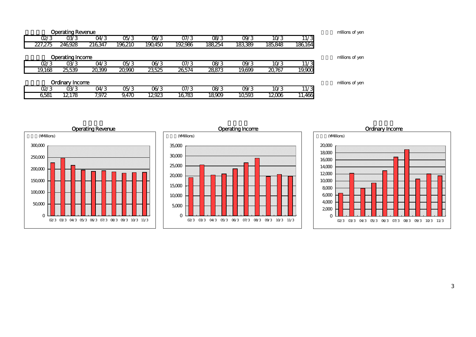| millions of yen |                   |         |         |         |         |         |         |        | <b>Operating Revenue</b> |         |  |
|-----------------|-------------------|---------|---------|---------|---------|---------|---------|--------|--------------------------|---------|--|
|                 | 11/3              | 10/3    | O9/3    | 08/3    | O7/3    | 06/3    | 05/3    | 04/3   | 03/3                     | 02/3    |  |
|                 | 186,164           | 185,848 | 183,389 | 188,254 | 192,986 | 190,450 | 196.210 | 216347 | 246.928                  | 227,275 |  |
|                 |                   |         |         |         |         |         |         |        |                          |         |  |
| millions of yen |                   |         |         |         |         |         |         |        | <b>Operating Income</b>  |         |  |
|                 | $11\overline{73}$ | 10/3    | O9/3    | 08/3    | O7/3    | 06/3    | OS/3    | O4/3   | 03/3                     | 02/3    |  |
|                 | 19,000            | 20,767  | 19,699  | 28873   | 26,574  | 23,525  | 20,990  | 20,399 | 25,539                   | 19,168  |  |
|                 |                   |         |         |         |         |         |         |        |                          |         |  |
| millions of yen |                   |         |         |         |         |         |         |        | <b>Ordinary Income</b>   |         |  |
|                 | $\overline{11/3}$ | 10/3    | O9/3    | 08/3    | O7/3    | 06/3    | OS/3    | O4/3   | 03/3                     | 02/3    |  |
|                 | 11,466            | 12006   | 10.593  | 18909   | 16.783  | 12923   | 9.470   | 7,972  | 12,178                   | 6581    |  |





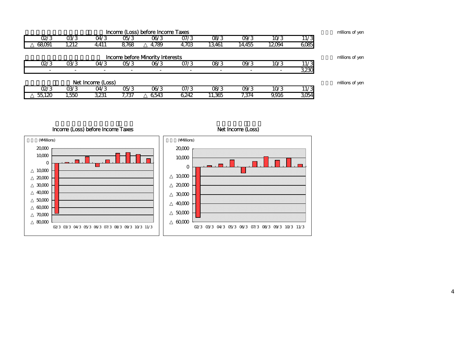| millions of yer | Income (Loss) before Income Taxes |       |        |        |       |                                        |       |       |       |        |  |  |  |  |
|-----------------|-----------------------------------|-------|--------|--------|-------|----------------------------------------|-------|-------|-------|--------|--|--|--|--|
|                 | 11/3                              | 10/3  | O9/3   | 08/3   | O7/3  | 06/3                                   | 05/3  | 04/3  | 03/3  | O2/3   |  |  |  |  |
|                 | 6,085                             | 12094 | 14,455 | 13,461 | 4,703 | 4,789                                  | 8,768 | 4,411 | 1,212 | 68,091 |  |  |  |  |
| millions of yer |                                   |       |        |        |       | <b>Income before Mnority Interests</b> |       |       |       |        |  |  |  |  |
|                 | 11/3                              | 10/3  | O9/3   | 08/3   | O7/3  | 06/3                                   | 05/3  | 04/3  | 03/3  | O2/3   |  |  |  |  |
|                 | 3,230                             |       |        |        |       |                                        |       |       |       |        |  |  |  |  |
| millions of yer | Net Income (Loss)                 |       |        |        |       |                                        |       |       |       |        |  |  |  |  |
|                 | 11/3                              | 10/3  | O9/3   | 08/3   | 07/3  | 06/3                                   | 05/3  | 04/3  | 03/3  | O2/3   |  |  |  |  |
|                 | 3,054                             | 9.916 | 7.374  | 11,365 | 6,242 | 6543                                   | 7.737 | 3,231 | ,550  | 55.120 |  |  |  |  |

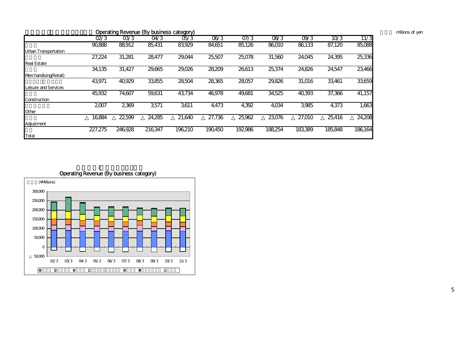| Operating Revenue (By business category) |         |         |         |         |         |         |         |         |         |  |  |  |
|------------------------------------------|---------|---------|---------|---------|---------|---------|---------|---------|---------|--|--|--|
| 02/3                                     | 03/3    | 04/3    | 05/3    | 06/3    | O7/3    | 08/3    | O9/3    | 10/3    | 11/3    |  |  |  |
| 90,888                                   | 88,912  | 85,431  | 83,929  | 84,651  | 85,126  | 86010   | 86,133  | 87,120  | 85,088  |  |  |  |
|                                          |         |         |         |         |         |         |         |         |         |  |  |  |
| 27,224                                   | 31,281  | 28,477  | 29,044  | 25,507  | 25,078  | 31,560  | 24,045  | 24,395  | 25,336  |  |  |  |
|                                          |         |         |         |         |         |         |         |         |         |  |  |  |
| 34,135                                   | 31,427  | 29,665  | 29,026  | 28,209  | 26,613  | 25,374  | 24,826  | 24,547  | 23,466  |  |  |  |
|                                          |         |         |         |         |         |         |         |         |         |  |  |  |
| 43,971                                   | 40,929  | 33,855  | 28504   | 28,365  | 28,057  | 29,826  | 31,016  | 33,461  | 33,659  |  |  |  |
|                                          |         |         |         |         |         |         |         |         |         |  |  |  |
| 45,932                                   | 74,607  | 59,631  | 43,734  | 46,978  | 49,681  | 34,525  | 40,393  | 37,366  | 41,157  |  |  |  |
|                                          |         |         |         |         |         |         |         |         |         |  |  |  |
| 2,007                                    | 2,369   | 3,571   | 3,611   | 4,473   | 4,392   | 4,034   | 3,985   | 4,373   | 1,663   |  |  |  |
|                                          |         |         |         |         |         |         |         |         |         |  |  |  |
| 16,884                                   | 22,599  | 24,285  | 21,640  | 27,736  | 25,962  | 23,076  | 27,010  | 25,416  | 24,208  |  |  |  |
|                                          |         |         |         |         |         |         |         |         |         |  |  |  |
| 227,275                                  | 246,928 | 216,347 | 196,210 | 190,450 | 192,986 | 188,254 | 183,389 | 185,848 | 186,164 |  |  |  |
|                                          |         |         |         |         |         |         |         |         |         |  |  |  |
|                                          |         |         |         |         |         |         |         |         |         |  |  |  |

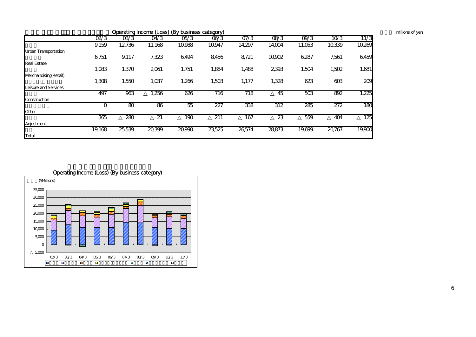| millions of yen |  |
|-----------------|--|
|                 |  |

|                       |        |        |        | Operating Income (Loss) (By business category) |        |        |        |        |        |        |
|-----------------------|--------|--------|--------|------------------------------------------------|--------|--------|--------|--------|--------|--------|
|                       | Q2/3   | 03/3   | O4/3   | OS/3                                           | 06/3   | O7/3   | 08/3   | O9/3   | 10/3   | 11/3   |
|                       | 9,159  | 12,736 | 11,168 | 10,988                                         | 10,947 | 14,297 | 14,004 | 11,053 | 10,339 | 10,269 |
| Urban Transportation  |        |        |        |                                                |        |        |        |        |        |        |
|                       | 6,751  | 9,117  | 7,323  | 6,494                                          | 8,456  | 8,721  | 10,902 | 6,287  | 7,561  | 6,459  |
| <b>Real Estate</b>    |        |        |        |                                                |        |        |        |        |        |        |
|                       | 1,083  | 1,370  | 2,061  | 1,751                                          | 1,884  | 1,488  | 2,393  | 1,504  | 1,502  | 1,681  |
| Merchandising(Retail) |        |        |        |                                                |        |        |        |        |        |        |
|                       | 1,308  | 1,550  | 1,037  | 1,266                                          | 1,503  | 1,177  | 1,328  | 623    | 603    | 209    |
| Leisure and Services  |        |        |        |                                                |        |        |        |        |        |        |
|                       | 497    | 963    | 1,256  | 626                                            | 716    | 718    | 45     | 503    | 892    | 1,225  |
| Construction          |        |        |        |                                                |        |        |        |        |        |        |
|                       | O      | 80     | 86     | 55                                             | 227    | 338    | 312    | 285    | 272    | 180    |
| Other                 |        |        |        |                                                |        |        |        |        |        |        |
|                       | 365    | 280    | 21     | 190                                            | 211    | 167    | 23     | 559    | 404    | 125    |
| Adjustment            |        |        |        |                                                |        |        |        |        |        |        |
|                       | 19,168 | 25,539 | 20,399 | 20,990                                         | 23,525 | 26,574 | 28873  | 19,699 | 20,767 | 19,900 |
| Total                 |        |        |        |                                                |        |        |        |        |        |        |



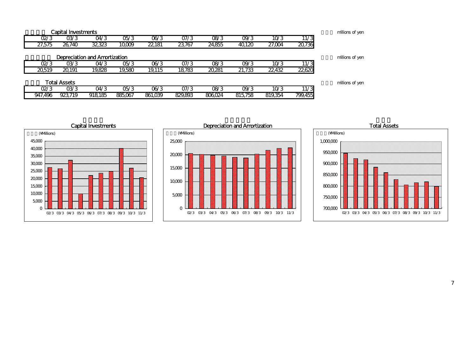|         |        | <b>Capital Investments</b> |                                      |                 |         |         |        |         |         |         | millions of yen |
|---------|--------|----------------------------|--------------------------------------|-----------------|---------|---------|--------|---------|---------|---------|-----------------|
|         | Q2/3   | 03/3                       | O4/3                                 | OS/3            | 06/3    | 07/3    | 08/3   | 09/3    | 10/3    | 11/3    |                 |
|         | 27,575 | 26,740                     | 32,323                               | 10,009          | 22,181  | 23,767  | 24,855 | 40,120  | 27,004  | 20,736  |                 |
|         |        |                            | <b>Depreciation and Amortization</b> |                 |         |         |        |         |         |         | millions of yen |
|         | 02/3   | 03/3                       | O4/3                                 | OS/3            | 06/3    | 07/3    | OR/3   | 09/3    | 10/3    | 11/3    |                 |
|         | 20519  | 20191                      | 19,828                               | 19,580          | 19,115  | 18,783  | 20,281 | 21,733  | 22,432  | 22,620  |                 |
|         |        | <b>Total Assets</b>        |                                      |                 |         |         |        |         |         |         | millions of yen |
|         | 02/3   | 03/3                       | 04/3                                 | $\overline{OS}$ | 06/3    | 07/3    | OR/3   | 09/3    | 10/3    | 11/3    |                 |
| 947,496 |        | 923.719                    | 918,185                              | 885,067         | 861,039 | 829,893 | 806024 | 815,758 | 819,354 | 799,455 |                 |





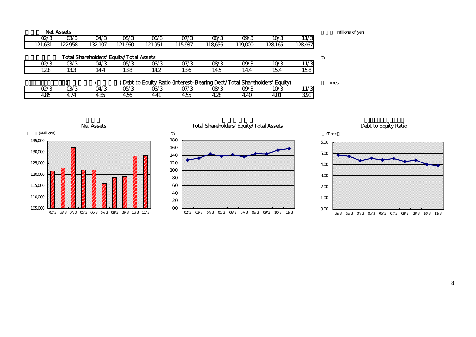|         | <b>Net Assets</b> |        |                                                |         |                                                                         |        |         |         |                   | millions of yer |
|---------|-------------------|--------|------------------------------------------------|---------|-------------------------------------------------------------------------|--------|---------|---------|-------------------|-----------------|
| Q2/3    | 03/3              | 04/3   | 0Б/3                                           | 06/3    | O7/3                                                                    | 08/3   | O9/3    | 10/3    | 11/3              |                 |
| 121,631 | 122958            | 132107 | 121.960                                        | 121,951 | 115,987                                                                 | 118656 | 119,000 | 128,165 | 128,467           |                 |
|         |                   |        | <b>Total Shareholders' Equity/Total Assets</b> |         |                                                                         |        |         |         |                   | %               |
| 02/3    | 03/3              | O4/3   | 05/3                                           | 06/3    | O7/3                                                                    | 08/3   | 09/3    | 10/3    | 11/3              |                 |
| 128     | 133               | 14.4   | 138                                            | 14.2    | 136                                                                     | 14.5   | 14.4    | 154     | 158               |                 |
|         |                   |        |                                                |         | Debt to Equity Ratio (Interest-Bearing Debt/Total Shareholders' Equity) |        |         |         |                   | times           |
| O2/3    | 03/3              | O4/3   | 05/3                                           | 06/3    | O7/3                                                                    | 08/3   | 09/3    | 10/3    | $11\overline{73}$ |                 |
| 4.85    | 4.74              | 4.35   | 456                                            | 4.41    | 4.55                                                                    | 4.28   | 4.40    | 4.O1    | 391               |                 |



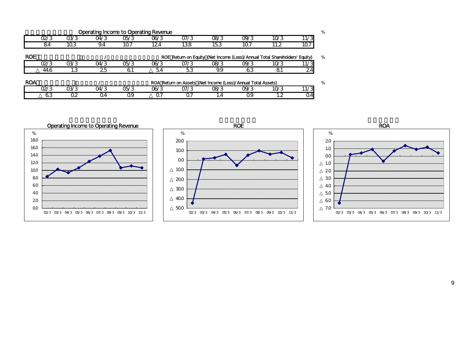|            | <b>Operating Income to Operating Revenue</b> |      |      |      |                                                              |      |                                                                            |      |      |      |  |  |  |  |
|------------|----------------------------------------------|------|------|------|--------------------------------------------------------------|------|----------------------------------------------------------------------------|------|------|------|--|--|--|--|
|            | 02/3                                         | 03/3 | 04/3 | 05/3 | 06/3                                                         | O7/3 | 08/3                                                                       | O9/3 | 10/3 | 11/3 |  |  |  |  |
|            | 84                                           | 103  | 9.4  | 107  | 124                                                          | 138  | 153                                                                        | 107  | 11.2 | 107  |  |  |  |  |
| <b>ROE</b> |                                              |      |      |      |                                                              |      | ROE Return on Equity (Net Income (Loss)/Annual Total Shareholders' Equity) |      |      | %    |  |  |  |  |
|            | 02/3                                         | 03/3 | 04/3 | 05/3 | 06/3                                                         | 07/3 | 08/3                                                                       | O9/3 | 10/3 | 11/3 |  |  |  |  |
|            | 44.6                                         | 1.3  | 25   | 61   | 54                                                           | 53   | 9.9                                                                        | 63   | 81   | 24   |  |  |  |  |
| <b>ROA</b> |                                              |      |      |      | ROA Return on Assets (Net Income (Loss)/Annual Total Assets) |      |                                                                            |      |      |      |  |  |  |  |
|            | 02/3                                         | 03/3 | 04/3 | 05/3 | 06/3                                                         | 07/3 | 08/3                                                                       | O9/3 | 10/3 | 11/3 |  |  |  |  |
|            | 63                                           | Q2   | Ω4   | Ω9   |                                                              |      |                                                                            | Ω9   |      | Q4   |  |  |  |  |

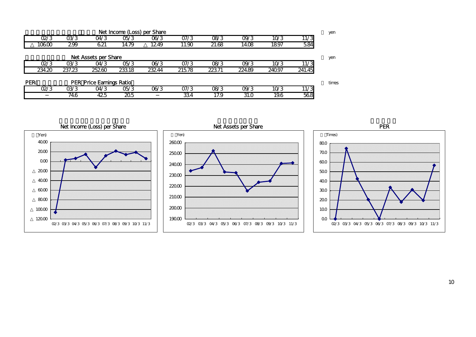|                                         | Net Income (Loss) per Share |        |       |       |       |       |        |        |        |                   |  |  |  |  |
|-----------------------------------------|-----------------------------|--------|-------|-------|-------|-------|--------|--------|--------|-------------------|--|--|--|--|
|                                         | O2/3                        | 03/3   | 04/3  | OS/3  | 06/3  | 07/3  | OR/3   | O9/3   | 10/3   | 11/3              |  |  |  |  |
|                                         | 10600                       | 299    | 621   | 14.79 | 1249  | 11.90 | 21.68  | 14.08  | 1897   | 584               |  |  |  |  |
|                                         | Net Assets per Share        |        |       |       |       |       |        |        |        |                   |  |  |  |  |
|                                         | 02/3                        | 03/3   | O4/3  | OS/3  | 06/3  | O7/3  | OR/3   | O9/3   | 10/3   | 11/3              |  |  |  |  |
|                                         | 234.20                      | 237.23 | 25260 | 23318 | 23244 | 21578 | 223.71 | 224.89 | 240.97 | 241.45            |  |  |  |  |
| PER(<br><b>PER Price Earnings Ratio</b> |                             |        |       |       |       |       |        |        |        |                   |  |  |  |  |
|                                         | 02/3                        | 03/3   | O4/3  | OS/3  | 06/3  | O7/3  | 08/3   | O9/3   | 10/3   | $\overline{11/3}$ |  |  |  |  |
|                                         |                             | 74.6   | 425   | 205   |       | 334   | 17.9   | 31.0   | 19.6   | 568               |  |  |  |  |







10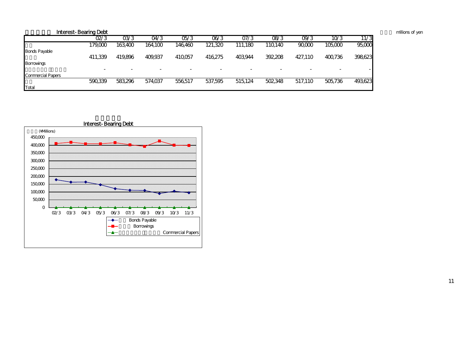|                          | <b>Interest-Bearing Debt</b> |                          |         |         |         |         |                          |         |         |         | millions of yer |
|--------------------------|------------------------------|--------------------------|---------|---------|---------|---------|--------------------------|---------|---------|---------|-----------------|
|                          | 02/3                         | 03/3                     | O4/3    | 05/3    | 06/3    | 07/3    | 08/3                     | 09/3    | 10/3    | 11/3    |                 |
|                          | 179,000                      | 163.400                  | 164.100 | 146460  | 121,320 | 111,180 | 110140                   | 90,000  | 105,000 | 95,000  |                 |
| <b>Bonds Payable</b>     |                              |                          |         |         |         |         |                          |         |         |         |                 |
|                          | 411,339                      | 419,896                  | 409,937 | 410,057 | 416,275 | 403,944 | 392,208                  | 427,110 | 400,736 | 398,623 |                 |
| <b>Borrowings</b>        |                              |                          |         |         |         |         |                          |         |         |         |                 |
|                          | $\overline{\phantom{a}}$     | $\overline{\phantom{a}}$ |         | -       |         |         | $\overline{\phantom{0}}$ |         | -       |         |                 |
| <b>Commercial Papers</b> |                              |                          |         |         |         |         |                          |         |         |         |                 |
|                          | 590,339                      | 583,296                  | 574,037 | 556517  | 537,595 | 515,124 | 502,348                  | 517,110 | 505,736 | 493,623 |                 |
| Total                    |                              |                          |         |         |         |         |                          |         |         |         |                 |

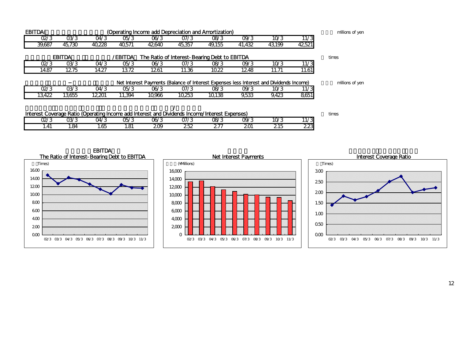| <b>EBITDA(</b><br>(Operating Income add Depreciation and Amortization)                         |        |        |        |        |        |        |        |        |        |       |  |  |
|------------------------------------------------------------------------------------------------|--------|--------|--------|--------|--------|--------|--------|--------|--------|-------|--|--|
| Q2/3                                                                                           | 03/3   | O4/3   | OS/3   | 06/3   | O7/3   | 08/3   | O9/3   | 10/3   | 11/3   |       |  |  |
| 39.687                                                                                         | 45.730 | 40,228 | 40.571 | 42,640 | 45,357 | 49.155 | 41,432 | 43,199 | 42,521 |       |  |  |
| <b>EBITDA</b><br><b>/EBITDA</b><br>The Ratio of Interest-Bearing Debt to EBITDA                |        |        |        |        |        |        |        |        |        |       |  |  |
| Q2/3                                                                                           | 03/3   | 04/3   | OS/3   | 06/3   | 07/3   | OR/3   | O9/3   | 10/3   | 11/3   |       |  |  |
| 14.87                                                                                          | 1275   | 14.27  | 1372   | 1261   | 11.36  | 10.22  | 1248   | 11.71  | 11.61  |       |  |  |
| Net Interest Payments (Balance of Interest Expenses less Interest and Dividends Income)        |        |        |        |        |        |        |        |        |        |       |  |  |
| Q2/3                                                                                           | 03/3   | O4/3   | OS/3   | 06/3   | O7/3   | 08/3   | O9/3   | 10/3   | 11/3   |       |  |  |
| 13.422                                                                                         | 13.655 | 12201  | 11.394 | 10.966 | 10.253 | 10138  | 9,533  | 9,423  | 8,651  |       |  |  |
| Interest Coverage Ratio (Operating Income add Interest and Dividends Income/Interest Expenses) |        |        |        |        |        |        |        |        |        |       |  |  |
|                                                                                                |        |        |        |        |        |        |        |        |        | times |  |  |
| Q2/3                                                                                           | 03/3   | 04/3   | OS/3   | 06/3   | 07/3   | OR/3   | O9/3   | 10/3   | 11/3   |       |  |  |
| 1.41                                                                                           | 1.84   | 1.65   | 1.81   | 209    | 252    | 277    | 201    | 215    | 223    |       |  |  |